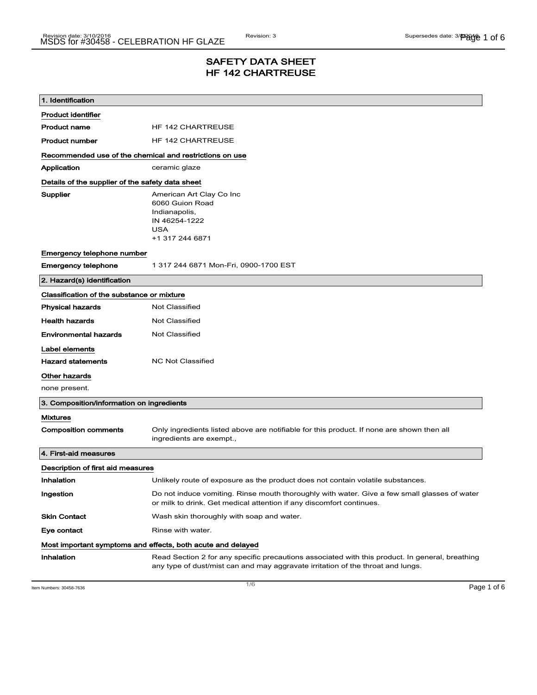## SAFETY DATA SHEET HF 142 CHARTREUSE

| 1. Identification                                           |                                                                                                                                                                                    |  |
|-------------------------------------------------------------|------------------------------------------------------------------------------------------------------------------------------------------------------------------------------------|--|
| <b>Product identifier</b>                                   |                                                                                                                                                                                    |  |
| <b>Product name</b>                                         | <b>HF 142 CHARTREUSE</b>                                                                                                                                                           |  |
| <b>Product number</b>                                       | <b>HF 142 CHARTREUSE</b>                                                                                                                                                           |  |
| Recommended use of the chemical and restrictions on use     |                                                                                                                                                                                    |  |
| Application                                                 | ceramic glaze                                                                                                                                                                      |  |
| Details of the supplier of the safety data sheet            |                                                                                                                                                                                    |  |
| Supplier                                                    | American Art Clay Co Inc<br>6060 Guion Road<br>Indianapolis,<br>IN 46254-1222<br><b>USA</b><br>+1 317 244 6871                                                                     |  |
| Emergency telephone number                                  |                                                                                                                                                                                    |  |
| <b>Emergency telephone</b>                                  | 1 317 244 6871 Mon-Fri, 0900-1700 EST                                                                                                                                              |  |
| 2. Hazard(s) identification                                 |                                                                                                                                                                                    |  |
| Classification of the substance or mixture                  |                                                                                                                                                                                    |  |
| <b>Physical hazards</b>                                     | <b>Not Classified</b>                                                                                                                                                              |  |
| <b>Health hazards</b>                                       | Not Classified                                                                                                                                                                     |  |
| <b>Environmental hazards</b>                                | <b>Not Classified</b>                                                                                                                                                              |  |
| Label elements                                              |                                                                                                                                                                                    |  |
| <b>Hazard statements</b>                                    | <b>NC Not Classified</b>                                                                                                                                                           |  |
| Other hazards                                               |                                                                                                                                                                                    |  |
| none present.                                               |                                                                                                                                                                                    |  |
| 3. Composition/information on ingredients                   |                                                                                                                                                                                    |  |
| <b>Mixtures</b>                                             |                                                                                                                                                                                    |  |
| <b>Composition comments</b>                                 | Only ingredients listed above are notifiable for this product. If none are shown then all<br>ingredients are exempt.,                                                              |  |
| 4. First-aid measures                                       |                                                                                                                                                                                    |  |
| Description of first aid measures                           |                                                                                                                                                                                    |  |
| Inhalation                                                  | Unlikely route of exposure as the product does not contain volatile substances.                                                                                                    |  |
| Ingestion                                                   | Do not induce vomiting. Rinse mouth thoroughly with water. Give a few small glasses of water<br>or milk to drink. Get medical attention if any discomfort continues.               |  |
| <b>Skin Contact</b>                                         | Wash skin thoroughly with soap and water.                                                                                                                                          |  |
| Eye contact                                                 | Rinse with water.                                                                                                                                                                  |  |
| Most important symptoms and effects, both acute and delayed |                                                                                                                                                                                    |  |
| Inhalation                                                  | Read Section 2 for any specific precautions associated with this product. In general, breathing<br>any type of dust/mist can and may aggravate irritation of the throat and lungs. |  |

Item Numbers: 30458-7636 **Page 1 of 6**  $\overline{1/6}$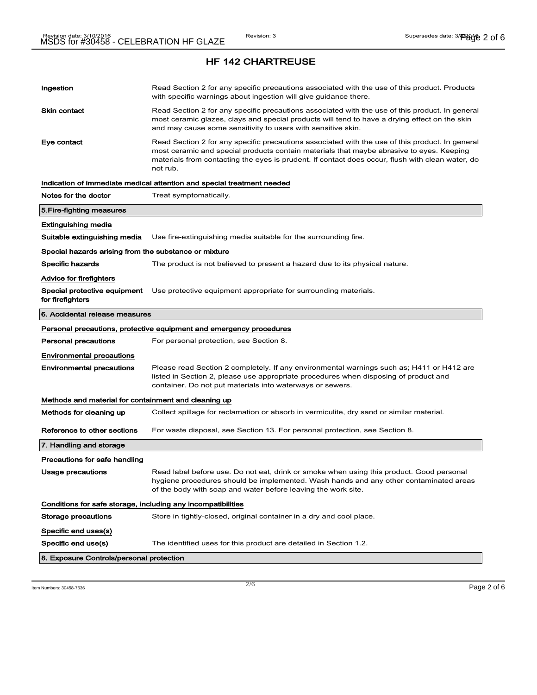| Ingestion                                                    | Read Section 2 for any specific precautions associated with the use of this product. Products<br>with specific warnings about ingestion will give guidance there.                                                                                                                                           |
|--------------------------------------------------------------|-------------------------------------------------------------------------------------------------------------------------------------------------------------------------------------------------------------------------------------------------------------------------------------------------------------|
| <b>Skin contact</b>                                          | Read Section 2 for any specific precautions associated with the use of this product. In general<br>most ceramic glazes, clays and special products will tend to have a drying effect on the skin<br>and may cause some sensitivity to users with sensitive skin.                                            |
| Eye contact                                                  | Read Section 2 for any specific precautions associated with the use of this product. In general<br>most ceramic and special products contain materials that maybe abrasive to eyes. Keeping<br>materials from contacting the eyes is prudent. If contact does occur, flush with clean water, do<br>not rub. |
|                                                              | Indication of immediate medical attention and special treatment needed                                                                                                                                                                                                                                      |
| Notes for the doctor                                         | Treat symptomatically.                                                                                                                                                                                                                                                                                      |
| 5. Fire-fighting measures                                    |                                                                                                                                                                                                                                                                                                             |
| Extinguishing media                                          |                                                                                                                                                                                                                                                                                                             |
| Suitable extinguishing media                                 | Use fire-extinguishing media suitable for the surrounding fire.                                                                                                                                                                                                                                             |
| Special hazards arising from the substance or mixture        |                                                                                                                                                                                                                                                                                                             |
| <b>Specific hazards</b>                                      | The product is not believed to present a hazard due to its physical nature.                                                                                                                                                                                                                                 |
| <b>Advice for firefighters</b>                               |                                                                                                                                                                                                                                                                                                             |
| Special protective equipment<br>for firefighters             | Use protective equipment appropriate for surrounding materials.                                                                                                                                                                                                                                             |
| 6. Accidental release measures                               |                                                                                                                                                                                                                                                                                                             |
|                                                              | Personal precautions, protective equipment and emergency procedures                                                                                                                                                                                                                                         |
|                                                              |                                                                                                                                                                                                                                                                                                             |
| <b>Personal precautions</b>                                  | For personal protection, see Section 8.                                                                                                                                                                                                                                                                     |
| <b>Environmental precautions</b>                             |                                                                                                                                                                                                                                                                                                             |
| <b>Environmental precautions</b>                             | Please read Section 2 completely. If any environmental warnings such as; H411 or H412 are<br>listed in Section 2, please use appropriate procedures when disposing of product and<br>container. Do not put materials into waterways or sewers.                                                              |
| Methods and material for containment and cleaning up         |                                                                                                                                                                                                                                                                                                             |
| Methods for cleaning up                                      | Collect spillage for reclamation or absorb in vermiculite, dry sand or similar material.                                                                                                                                                                                                                    |
| Reference to other sections                                  | For waste disposal, see Section 13. For personal protection, see Section 8.                                                                                                                                                                                                                                 |
| 7. Handling and storage                                      |                                                                                                                                                                                                                                                                                                             |
| Precautions for safe handling                                |                                                                                                                                                                                                                                                                                                             |
| Usage precautions                                            | Read label before use. Do not eat, drink or smoke when using this product. Good personal<br>hygiene procedures should be implemented. Wash hands and any other contaminated areas<br>of the body with soap and water before leaving the work site.                                                          |
| Conditions for safe storage, including any incompatibilities |                                                                                                                                                                                                                                                                                                             |
| <b>Storage precautions</b>                                   | Store in tightly-closed, original container in a dry and cool place.                                                                                                                                                                                                                                        |
| Specific end uses(s)                                         |                                                                                                                                                                                                                                                                                                             |
| Specific end use(s)                                          | The identified uses for this product are detailed in Section 1.2.                                                                                                                                                                                                                                           |

Item Numbers: 30458-7636 **Page 2 of 6**  $\overline{2/6}$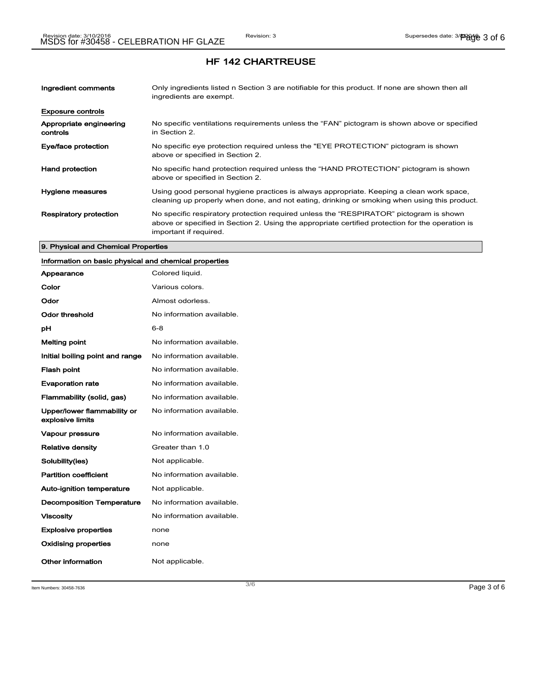| Ingredient comments                 | Only ingredients listed n Section 3 are notifiable for this product. If none are shown then all<br>ingredients are exempt.                                                                                           |
|-------------------------------------|----------------------------------------------------------------------------------------------------------------------------------------------------------------------------------------------------------------------|
| <b>Exposure controls</b>            |                                                                                                                                                                                                                      |
| Appropriate engineering<br>controls | No specific ventilations requirements unless the "FAN" pictogram is shown above or specified<br>in Section 2.                                                                                                        |
| Eye/face protection                 | No specific eye protection required unless the "EYE PROTECTION" pictogram is shown<br>above or specified in Section 2.                                                                                               |
| <b>Hand protection</b>              | No specific hand protection required unless the "HAND PROTECTION" pictogram is shown<br>above or specified in Section 2.                                                                                             |
| Hygiene measures                    | Using good personal hygiene practices is always appropriate. Keeping a clean work space,<br>cleaning up properly when done, and not eating, drinking or smoking when using this product.                             |
| <b>Respiratory protection</b>       | No specific respiratory protection required unless the "RESPIRATOR" pictogram is shown<br>above or specified in Section 2. Using the appropriate certified protection for the operation is<br>important if required. |

### 9. Physical and Chemical Properties

# Information on basic physical and chemical properties

| Appearance                                      | Colored liquid.           |
|-------------------------------------------------|---------------------------|
| Color                                           | Various colors.           |
| Odor                                            | Almost odorless.          |
| Odor threshold                                  | No information available. |
| рH                                              | 6-8                       |
| <b>Melting point</b>                            | No information available. |
| Initial boiling point and range                 | No information available. |
| <b>Flash point</b>                              | No information available. |
| <b>Evaporation rate</b>                         | No information available. |
| Flammability (solid, gas)                       | No information available. |
| Upper/lower flammability or<br>explosive limits | No information available. |
| <b>Vapour pressure</b>                          | No information available. |
| <b>Relative density</b>                         | Greater than 1.0          |
| Solubility(ies)                                 | Not applicable.           |
| <b>Partition coefficient</b>                    | No information available. |
| <b>Auto-ignition temperature</b>                | Not applicable.           |
| <b>Decomposition Temperature</b>                | No information available. |
| <b>Viscosity</b>                                | No information available. |
| <b>Explosive properties</b>                     | none                      |
| <b>Oxidising properties</b>                     | none                      |
| Other information                               | Not applicable.           |

Item Numbers: 30458-7636 **Page 3 of 6**  $\overline{3/6}$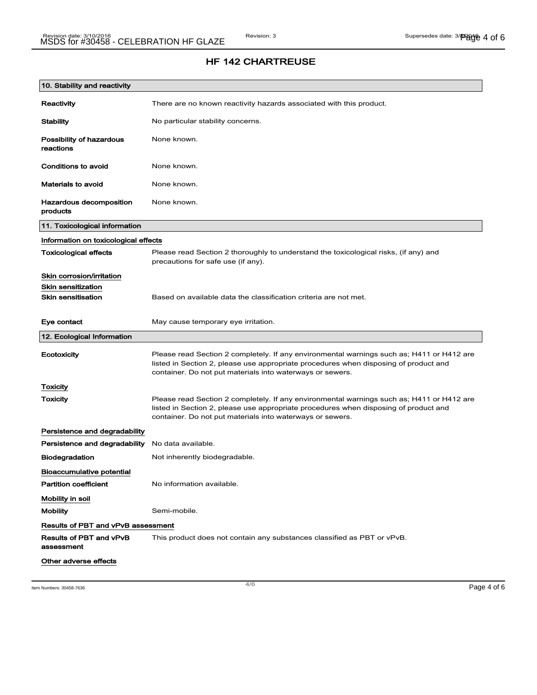| 10. Stability and reactivity              |                                                                                                                                                                                                                                                |
|-------------------------------------------|------------------------------------------------------------------------------------------------------------------------------------------------------------------------------------------------------------------------------------------------|
| Reactivity                                | There are no known reactivity hazards associated with this product.                                                                                                                                                                            |
| <b>Stability</b>                          | No particular stability concerns.                                                                                                                                                                                                              |
| Possibility of hazardous<br>reactions     | None known.                                                                                                                                                                                                                                    |
| Conditions to avoid                       | None known.                                                                                                                                                                                                                                    |
| <b>Materials to avoid</b>                 | None known.                                                                                                                                                                                                                                    |
| Hazardous decomposition<br>products       | None known.                                                                                                                                                                                                                                    |
| 11. Toxicological information             |                                                                                                                                                                                                                                                |
| Information on toxicological effects      |                                                                                                                                                                                                                                                |
| <b>Toxicological effects</b>              | Please read Section 2 thoroughly to understand the toxicological risks, (if any) and<br>precautions for safe use (if any).                                                                                                                     |
| Skin corrosion/irritation                 |                                                                                                                                                                                                                                                |
| <b>Skin sensitization</b>                 |                                                                                                                                                                                                                                                |
| <b>Skin sensitisation</b>                 | Based on available data the classification criteria are not met.                                                                                                                                                                               |
| Eye contact                               | May cause temporary eye irritation.                                                                                                                                                                                                            |
| 12. Ecological Information                |                                                                                                                                                                                                                                                |
| Ecotoxicity                               | Please read Section 2 completely. If any environmental warnings such as; H411 or H412 are<br>listed in Section 2, please use appropriate procedures when disposing of product and<br>container. Do not put materials into waterways or sewers. |
| <b>Toxicity</b>                           |                                                                                                                                                                                                                                                |
| Toxicity                                  | Please read Section 2 completely. If any environmental warnings such as; H411 or H412 are<br>listed in Section 2, please use appropriate procedures when disposing of product and<br>container. Do not put materials into waterways or sewers. |
| Persistence and degradability             |                                                                                                                                                                                                                                                |
| Persistence and degradability             | No data available.                                                                                                                                                                                                                             |
| <b>Biodegradation</b>                     | Not inherently biodegradable.                                                                                                                                                                                                                  |
| <b>Bioaccumulative potential</b>          |                                                                                                                                                                                                                                                |
| <b>Partition coefficient</b>              | No information available.                                                                                                                                                                                                                      |
| Mobility in soil                          |                                                                                                                                                                                                                                                |
| <b>Mobility</b>                           | Semi-mobile.                                                                                                                                                                                                                                   |
| <b>Results of PBT and vPvB assessment</b> |                                                                                                                                                                                                                                                |
| Results of PBT and vPvB<br>assessment     | This product does not contain any substances classified as PBT or vPvB.                                                                                                                                                                        |
| Other adverse effects                     |                                                                                                                                                                                                                                                |

Item Numbers: 30458-7636 **Page 4 of 6**  $\overline{4/6}$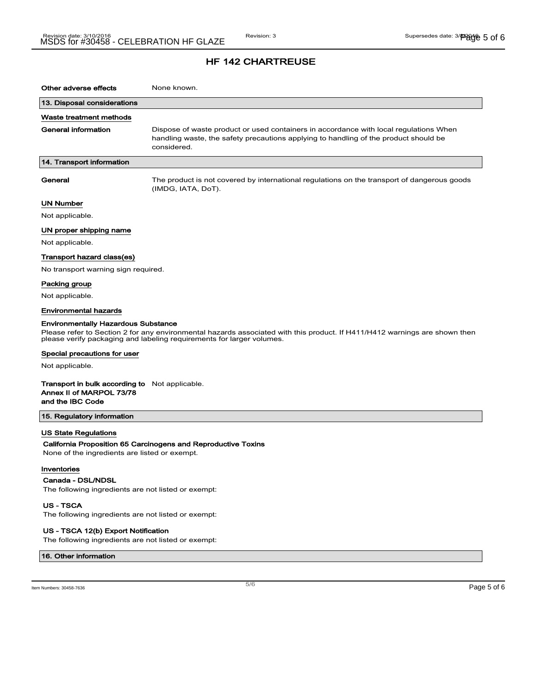| Other adverse effects                                                                                                                                                                                                                             | None known.                                                                                                                                                                                  |  |
|---------------------------------------------------------------------------------------------------------------------------------------------------------------------------------------------------------------------------------------------------|----------------------------------------------------------------------------------------------------------------------------------------------------------------------------------------------|--|
| 13. Disposal considerations                                                                                                                                                                                                                       |                                                                                                                                                                                              |  |
| Waste treatment methods                                                                                                                                                                                                                           |                                                                                                                                                                                              |  |
| General information                                                                                                                                                                                                                               | Dispose of waste product or used containers in accordance with local regulations When<br>handling waste, the safety precautions applying to handling of the product should be<br>considered. |  |
| 14. Transport information                                                                                                                                                                                                                         |                                                                                                                                                                                              |  |
| General                                                                                                                                                                                                                                           | The product is not covered by international regulations on the transport of dangerous goods<br>(IMDG, IATA, DoT).                                                                            |  |
| UN Number                                                                                                                                                                                                                                         |                                                                                                                                                                                              |  |
| Not applicable.                                                                                                                                                                                                                                   |                                                                                                                                                                                              |  |
| UN proper shipping name                                                                                                                                                                                                                           |                                                                                                                                                                                              |  |
| Not applicable.                                                                                                                                                                                                                                   |                                                                                                                                                                                              |  |
| Transport hazard class(es)                                                                                                                                                                                                                        |                                                                                                                                                                                              |  |
| No transport warning sign required.                                                                                                                                                                                                               |                                                                                                                                                                                              |  |
| Packing group                                                                                                                                                                                                                                     |                                                                                                                                                                                              |  |
| Not applicable.                                                                                                                                                                                                                                   |                                                                                                                                                                                              |  |
| <b>Environmental hazards</b>                                                                                                                                                                                                                      |                                                                                                                                                                                              |  |
| <b>Environmentally Hazardous Substance</b><br>Please refer to Section 2 for any environmental hazards associated with this product. If H411/H412 warnings are shown then<br>please verify packaging and labeling requirements for larger volumes. |                                                                                                                                                                                              |  |
| Special precautions for user                                                                                                                                                                                                                      |                                                                                                                                                                                              |  |
| Not applicable.                                                                                                                                                                                                                                   |                                                                                                                                                                                              |  |
| <b>Transport in bulk according to</b> Not applicable.<br>Annex II of MARPOL 73/78<br>and the IBC Code                                                                                                                                             |                                                                                                                                                                                              |  |
| 15. Regulatory information                                                                                                                                                                                                                        |                                                                                                                                                                                              |  |
| <b>US State Regulations</b><br>California Proposition 65 Carcinogens and Reproductive Toxins<br>None of the ingredients are listed or exempt.                                                                                                     |                                                                                                                                                                                              |  |
| Inventories<br>Canada - DSL/NDSL<br>The following ingredients are not listed or exempt:<br><b>US-TSCA</b><br>The following ingredients are not listed or exempt:                                                                                  |                                                                                                                                                                                              |  |
|                                                                                                                                                                                                                                                   |                                                                                                                                                                                              |  |

### US - TSCA 12(b) Export Notification

The following ingredients are not listed or exempt:

16. Other information